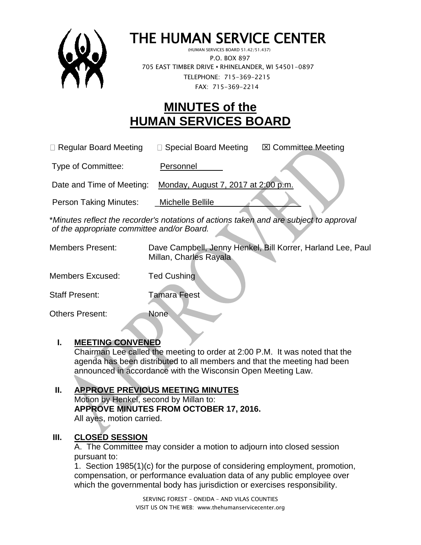

# THE HUMAN SERVICE CENTER

 (HUMAN SERVICES BOARD 51.42/51.437) P.O. BOX 897 705 EAST TIMBER DRIVE **•** RHINELANDER, WI 54501-0897 TELEPHONE: 715-369-2215 FAX: 715-369-2214

## **MINUTES of the HUMAN SERVICES BOARD**

| $\Box$ Regular Board Meeting  | $\Box$ Special Board Meeting        | <b>⊠ Committee Meeting</b> |
|-------------------------------|-------------------------------------|----------------------------|
| Type of Committee:            | Personnel                           |                            |
| Date and Time of Meeting:     | Monday, August 7, 2017 at 2:00 p.m. |                            |
| <b>Person Taking Minutes:</b> | Michelle Bellile                    |                            |

\**Minutes reflect the recorder's notations of actions taken and are subject to approval of the appropriate committee and/or Board.*

Members Present: Dave Campbell, Jenny Henkel, Bill Korrer, Harland Lee, Paul Millan, Charles Rayala

Members Excused: Ted Cushing

Staff Present: Tamara Feest

Others Present: None

#### **I. MEETING CONVENED**

Chairman Lee called the meeting to order at 2:00 P.M. It was noted that the agenda has been distributed to all members and that the meeting had been announced in accordance with the Wisconsin Open Meeting Law.

### **II. APPROVE PREVIOUS MEETING MINUTES**

Motion by Henkel, second by Millan to: **APPROVE MINUTES FROM OCTOBER 17, 2016.**  All ayes, motion carried.

#### **III. CLOSED SESSION**

A. The Committee may consider a motion to adjourn into closed session pursuant to:

1. Section 1985(1)(c) for the purpose of considering employment, promotion, compensation, or performance evaluation data of any public employee over which the governmental body has jurisdiction or exercises responsibility.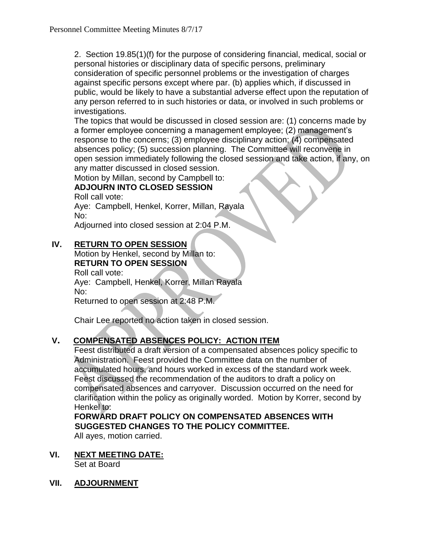2. Section 19.85(1)(f) for the purpose of considering financial, medical, social or personal histories or disciplinary data of specific persons, preliminary consideration of specific personnel problems or the investigation of charges against specific persons except where par. (b) applies which, if discussed in public, would be likely to have a substantial adverse effect upon the reputation of any person referred to in such histories or data, or involved in such problems or investigations.

The topics that would be discussed in closed session are: (1) concerns made by a former employee concerning a management employee; (2) management's response to the concerns; (3) employee disciplinary action; (4) compensated absences policy; (5) succession planning. The Committee will reconvene in open session immediately following the closed session and take action, if any, on any matter discussed in closed session.

Motion by Millan, second by Campbell to:

#### **ADJOURN INTO CLOSED SESSION**

Roll call vote:

Aye: Campbell, Henkel, Korrer, Millan, Rayala No:

Adjourned into closed session at 2:04 P.M.

#### **IV. RETURN TO OPEN SESSION**

Motion by Henkel, second by Millan to: **RETURN TO OPEN SESSION** Roll call vote: Aye: Campbell, Henkel, Korrer, Millan Rayala No: Returned to open session at 2:48 P.M.

Chair Lee reported no action taken in closed session.

#### **V. COMPENSATED ABSENCES POLICY: ACTION ITEM**

Feest distributed a draft version of a compensated absences policy specific to Administration. Feest provided the Committee data on the number of accumulated hours, and hours worked in excess of the standard work week. Feest discussed the recommendation of the auditors to draft a policy on compensated absences and carryover. Discussion occurred on the need for clarification within the policy as originally worded. Motion by Korrer, second by Henkel to:

#### **FORWARD DRAFT POLICY ON COMPENSATED ABSENCES WITH SUGGESTED CHANGES TO THE POLICY COMMITTEE.**

All ayes, motion carried.

- **VI. NEXT MEETING DATE:** Set at Board
- **VII. ADJOURNMENT**